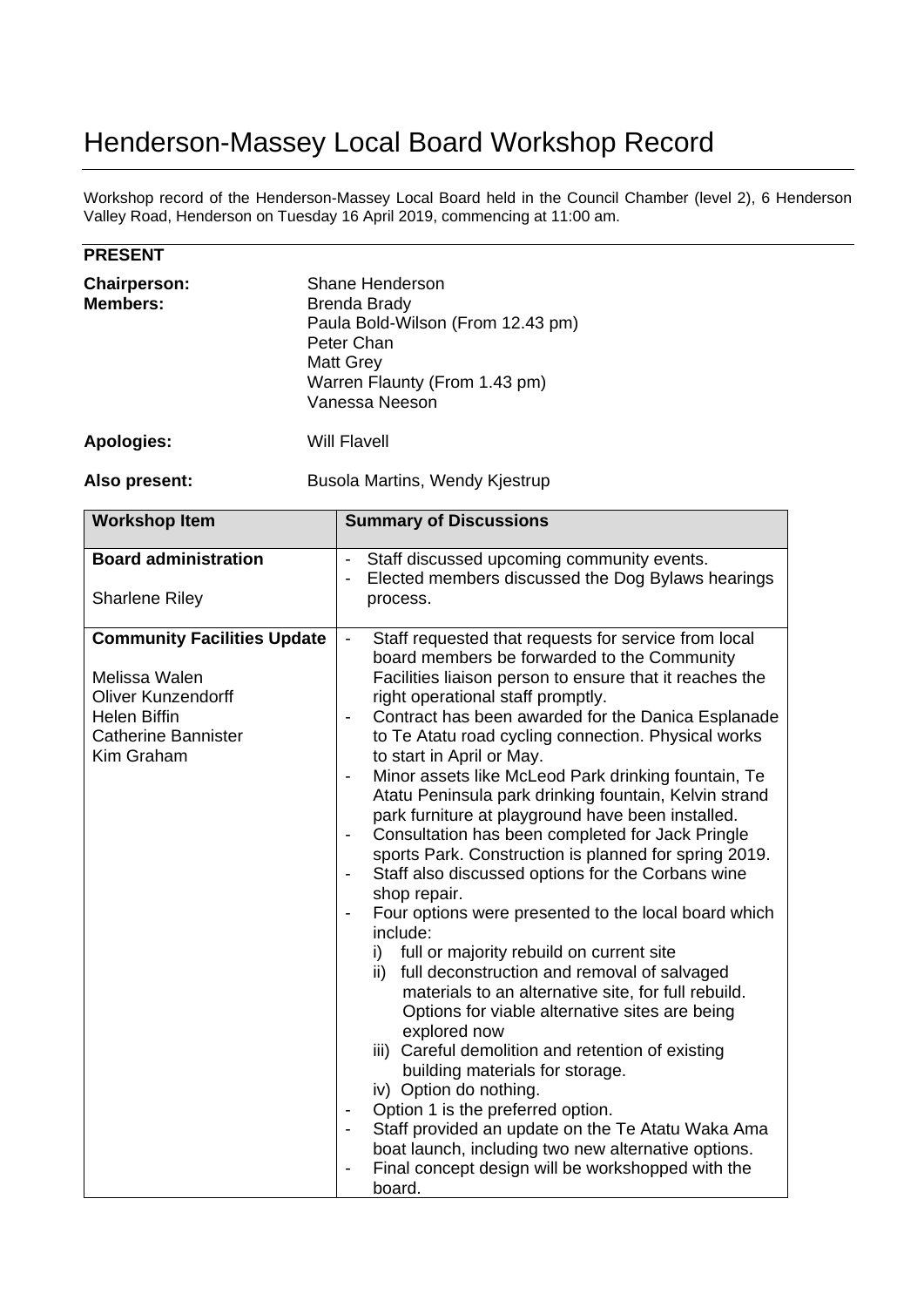## Henderson-Massey Local Board Workshop Record

Workshop record of the Henderson-Massey Local Board held in the Council Chamber (level 2), 6 Henderson Valley Road, Henderson on Tuesday 16 April 2019, commencing at 11:00 am.

| Shane Henderson<br><b>Brenda Brady</b><br>Paula Bold-Wilson (From 12.43 pm)<br>Peter Chan<br><b>Matt Grey</b><br>Warren Flaunty (From 1.43 pm)<br>Vanessa Neeson |
|------------------------------------------------------------------------------------------------------------------------------------------------------------------|
| Will Flavell                                                                                                                                                     |
|                                                                                                                                                                  |

Also present: Busola Martins, Wendy Kjestrup

| <b>Workshop Item</b>                                                                                                                                | <b>Summary of Discussions</b>                                                                                                                                                                                                                                                                                                                                                                                                                                                                                                                                                                                                                                                                                                                                                                                                                                                                                                                                                                                                                                                                                                                                                                                                                                                                                                                                                                                                                                                                             |
|-----------------------------------------------------------------------------------------------------------------------------------------------------|-----------------------------------------------------------------------------------------------------------------------------------------------------------------------------------------------------------------------------------------------------------------------------------------------------------------------------------------------------------------------------------------------------------------------------------------------------------------------------------------------------------------------------------------------------------------------------------------------------------------------------------------------------------------------------------------------------------------------------------------------------------------------------------------------------------------------------------------------------------------------------------------------------------------------------------------------------------------------------------------------------------------------------------------------------------------------------------------------------------------------------------------------------------------------------------------------------------------------------------------------------------------------------------------------------------------------------------------------------------------------------------------------------------------------------------------------------------------------------------------------------------|
| <b>Board administration</b><br><b>Sharlene Riley</b>                                                                                                | Staff discussed upcoming community events.<br>$\overline{\phantom{a}}$<br>Elected members discussed the Dog Bylaws hearings<br>process.                                                                                                                                                                                                                                                                                                                                                                                                                                                                                                                                                                                                                                                                                                                                                                                                                                                                                                                                                                                                                                                                                                                                                                                                                                                                                                                                                                   |
| <b>Community Facilities Update</b><br>Melissa Walen<br><b>Oliver Kunzendorff</b><br><b>Helen Biffin</b><br><b>Catherine Bannister</b><br>Kim Graham | Staff requested that requests for service from local<br>$\blacksquare$<br>board members be forwarded to the Community<br>Facilities liaison person to ensure that it reaches the<br>right operational staff promptly.<br>Contract has been awarded for the Danica Esplanade<br>$\overline{\phantom{a}}$<br>to Te Atatu road cycling connection. Physical works<br>to start in April or May.<br>Minor assets like McLeod Park drinking fountain, Te<br>$\overline{\phantom{a}}$<br>Atatu Peninsula park drinking fountain, Kelvin strand<br>park furniture at playground have been installed.<br>Consultation has been completed for Jack Pringle<br>$\overline{\phantom{a}}$<br>sports Park. Construction is planned for spring 2019.<br>Staff also discussed options for the Corbans wine<br>shop repair.<br>Four options were presented to the local board which<br>include:<br>full or majority rebuild on current site<br>i)<br>full deconstruction and removal of salvaged<br>ii)<br>materials to an alternative site, for full rebuild.<br>Options for viable alternative sites are being<br>explored now<br>iii) Careful demolition and retention of existing<br>building materials for storage.<br>iv) Option do nothing.<br>Option 1 is the preferred option.<br>$\overline{\phantom{a}}$<br>Staff provided an update on the Te Atatu Waka Ama<br>$\overline{\phantom{a}}$<br>boat launch, including two new alternative options.<br>Final concept design will be workshopped with the<br>board. |